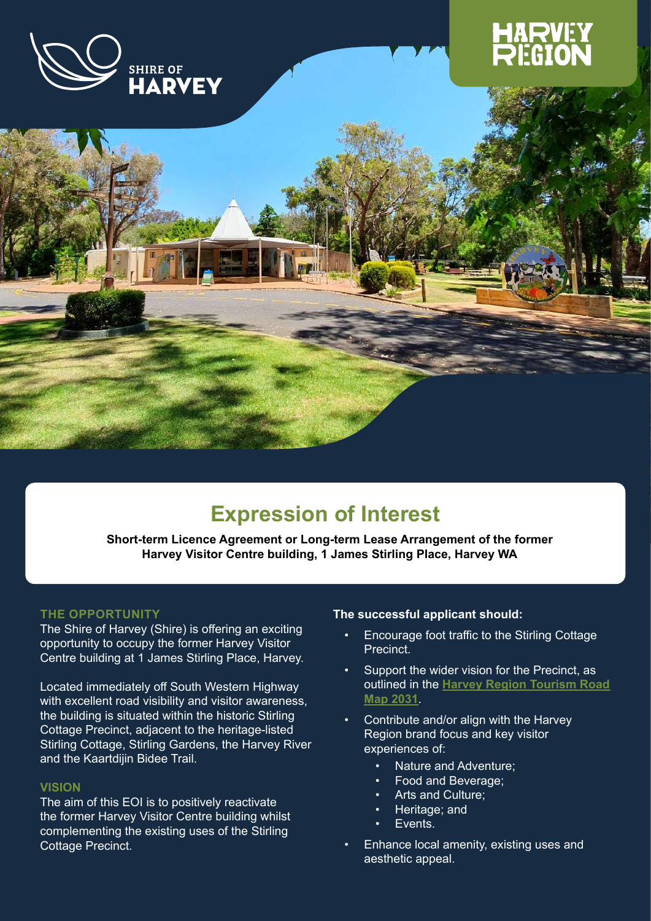

# **Expression of Interest**

**Short-term Licence Agreement or Long-term Lease Arrangement of the former Harvey Visitor Centre building, 1 James Stirling Place, Harvey WA**

### **THE OPPORTUNITY**

The Shire of Harvey (Shire) is offering an exciting opportunity to occupy the former Harvey Visitor Centre building at 1 James Stirling Place, Harvey.

Located immediately off South Western Highway with excellent road visibility and visitor awareness, the building is situated within the historic Stirling Cottage Precinct, adjacent to the heritage-listed Stirling Cottage, Stirling Gardens, the Harvey River and the Kaartdijin Bidee Trail.

#### **VISION**

The aim of this EOI is to positively reactivate the former Harvey Visitor Centre building whilst complementing the existing uses of the Stirling Cottage Precinct.

#### **The successful applicant should:**

- Encourage foot traffic to the Stirling Cottage Precinct.
- Support the wider vision for the Precinct, as outlined in the **[Harvey Region Tourism Road](https://www.harvey.wa.gov.au/build-and-develop/business,-economy-and-tourism/harvey-region-tourism-road-map-2031)  [Map 2031](https://www.harvey.wa.gov.au/build-and-develop/business,-economy-and-tourism/harvey-region-tourism-road-map-2031)**.
- Contribute and/or align with the Harvey Region brand focus and key visitor experiences of:
	- Nature and Adventure:
	- Food and Beverage;
	- Arts and Culture;
	- Heritage; and
	- Events.
- Enhance local amenity, existing uses and aesthetic appeal.